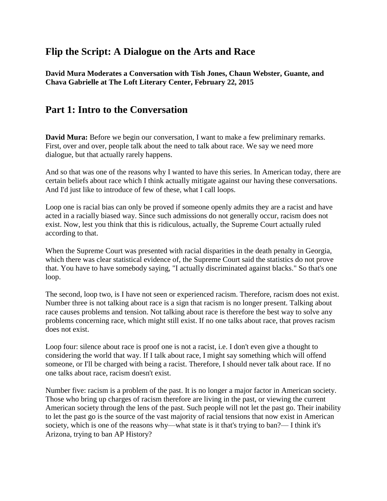# **Flip the Script: A Dialogue on the Arts and Race**

**David Mura Moderates a Conversation with Tish Jones, Chaun Webster, Guante, and Chava Gabrielle at The Loft Literary Center, February 22, 2015**

# **Part 1: Intro to the Conversation**

**David Mura:** Before we begin our conversation, I want to make a few preliminary remarks. First, over and over, people talk about the need to talk about race. We say we need more dialogue, but that actually rarely happens.

And so that was one of the reasons why I wanted to have this series. In American today, there are certain beliefs about race which I think actually mitigate against our having these conversations. And I'd just like to introduce of few of these, what I call loops.

Loop one is racial bias can only be proved if someone openly admits they are a racist and have acted in a racially biased way. Since such admissions do not generally occur, racism does not exist. Now, lest you think that this is ridiculous, actually, the Supreme Court actually ruled according to that.

When the Supreme Court was presented with racial disparities in the death penalty in Georgia, which there was clear statistical evidence of, the Supreme Court said the statistics do not prove that. You have to have somebody saying, "I actually discriminated against blacks." So that's one loop.

The second, loop two, is I have not seen or experienced racism. Therefore, racism does not exist. Number three is not talking about race is a sign that racism is no longer present. Talking about race causes problems and tension. Not talking about race is therefore the best way to solve any problems concerning race, which might still exist. If no one talks about race, that proves racism does not exist.

Loop four: silence about race is proof one is not a racist, i.e. I don't even give a thought to considering the world that way. If I talk about race, I might say something which will offend someone, or I'll be charged with being a racist. Therefore, I should never talk about race. If no one talks about race, racism doesn't exist.

Number five: racism is a problem of the past. It is no longer a major factor in American society. Those who bring up charges of racism therefore are living in the past, or viewing the current American society through the lens of the past. Such people will not let the past go. Their inability to let the past go is the source of the vast majority of racial tensions that now exist in American society, which is one of the reasons why—what state is it that's trying to ban?— I think it's Arizona, trying to ban AP History?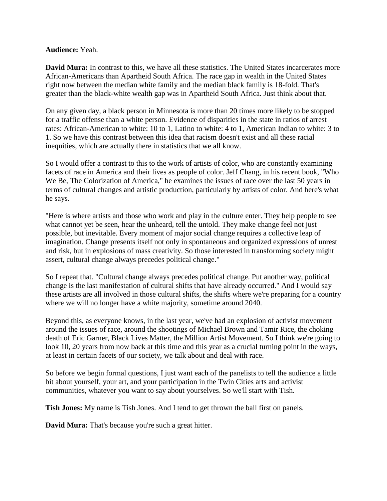#### **Audience:** Yeah.

**David Mura:** In contrast to this, we have all these statistics. The United States incarcerates more African-Americans than Apartheid South Africa. The race gap in wealth in the United States right now between the median white family and the median black family is 18-fold. That's greater than the black-white wealth gap was in Apartheid South Africa. Just think about that.

On any given day, a black person in Minnesota is more than 20 times more likely to be stopped for a traffic offense than a white person. Evidence of disparities in the state in ratios of arrest rates: African-American to white: 10 to 1, Latino to white: 4 to 1, American Indian to white: 3 to 1. So we have this contrast between this idea that racism doesn't exist and all these racial inequities, which are actually there in statistics that we all know.

So I would offer a contrast to this to the work of artists of color, who are constantly examining facets of race in America and their lives as people of color. Jeff Chang, in his recent book, "Who We Be, The Colorization of America," he examines the issues of race over the last 50 years in terms of cultural changes and artistic production, particularly by artists of color. And here's what he says.

"Here is where artists and those who work and play in the culture enter. They help people to see what cannot yet be seen, hear the unheard, tell the untold. They make change feel not just possible, but inevitable. Every moment of major social change requires a collective leap of imagination. Change presents itself not only in spontaneous and organized expressions of unrest and risk, but in explosions of mass creativity. So those interested in transforming society might assert, cultural change always precedes political change."

So I repeat that. "Cultural change always precedes political change. Put another way, political change is the last manifestation of cultural shifts that have already occurred." And I would say these artists are all involved in those cultural shifts, the shifts where we're preparing for a country where we will no longer have a white majority, sometime around 2040.

Beyond this, as everyone knows, in the last year, we've had an explosion of activist movement around the issues of race, around the shootings of Michael Brown and Tamir Rice, the choking death of Eric Garner, Black Lives Matter, the Million Artist Movement. So I think we're going to look 10, 20 years from now back at this time and this year as a crucial turning point in the ways, at least in certain facets of our society, we talk about and deal with race.

So before we begin formal questions, I just want each of the panelists to tell the audience a little bit about yourself, your art, and your participation in the Twin Cities arts and activist communities, whatever you want to say about yourselves. So we'll start with Tish.

**Tish Jones:** My name is Tish Jones. And I tend to get thrown the ball first on panels.

**David Mura:** That's because you're such a great hitter.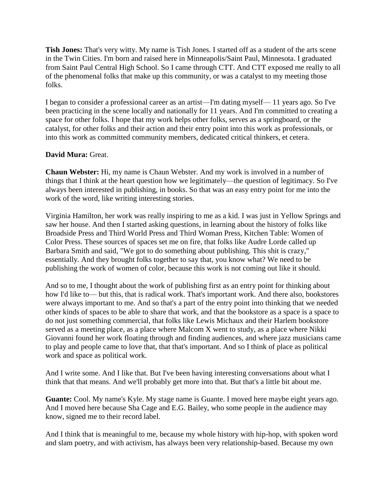**Tish Jones:** That's very witty. My name is Tish Jones. I started off as a student of the arts scene in the Twin Cities. I'm born and raised here in Minneapolis/Saint Paul, Minnesota. I graduated from Saint Paul Central High School. So I came through CTT. And CTT exposed me really to all of the phenomenal folks that make up this community, or was a catalyst to my meeting those folks.

I began to consider a professional career as an artist—I'm dating myself— 11 years ago. So I've been practicing in the scene locally and nationally for 11 years. And I'm committed to creating a space for other folks. I hope that my work helps other folks, serves as a springboard, or the catalyst, for other folks and their action and their entry point into this work as professionals, or into this work as committed community members, dedicated critical thinkers, et cetera.

### **David Mura:** Great.

**Chaun Webster:** Hi, my name is Chaun Webster. And my work is involved in a number of things that I think at the heart question how we legitimately—the question of legitimacy. So I've always been interested in publishing, in books. So that was an easy entry point for me into the work of the word, like writing interesting stories.

Virginia Hamilton, her work was really inspiring to me as a kid. I was just in Yellow Springs and saw her house. And then I started asking questions, in learning about the history of folks like Broadside Press and Third World Press and Third Woman Press, Kitchen Table: Women of Color Press. These sources of spaces set me on fire, that folks like Audre Lorde called up Barbara Smith and said, "We got to do something about publishing. This shit is crazy," essentially. And they brought folks together to say that, you know what? We need to be publishing the work of women of color, because this work is not coming out like it should.

And so to me, I thought about the work of publishing first as an entry point for thinking about how I'd like to— but this, that is radical work. That's important work. And there also, bookstores were always important to me. And so that's a part of the entry point into thinking that we needed other kinds of spaces to be able to share that work, and that the bookstore as a space is a space to do not just something commercial, that folks like Lewis Michaux and their Harlem bookstore served as a meeting place, as a place where Malcom X went to study, as a place where Nikki Giovanni found her work floating through and finding audiences, and where jazz musicians came to play and people came to love that, that that's important. And so I think of place as political work and space as political work.

And I write some. And I like that. But I've been having interesting conversations about what I think that that means. And we'll probably get more into that. But that's a little bit about me.

**Guante:** Cool. My name's Kyle. My stage name is Guante. I moved here maybe eight years ago. And I moved here because Sha Cage and E.G. Bailey, who some people in the audience may know, signed me to their record label.

And I think that is meaningful to me, because my whole history with hip-hop, with spoken word and slam poetry, and with activism, has always been very relationship-based. Because my own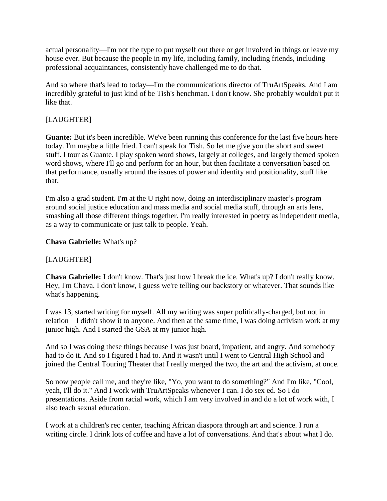actual personality—I'm not the type to put myself out there or get involved in things or leave my house ever. But because the people in my life, including family, including friends, including professional acquaintances, consistently have challenged me to do that.

And so where that's lead to today—I'm the communications director of TruArtSpeaks. And I am incredibly grateful to just kind of be Tish's henchman. I don't know. She probably wouldn't put it like that.

## [LAUGHTER]

**Guante:** But it's been incredible. We've been running this conference for the last five hours here today. I'm maybe a little fried. I can't speak for Tish. So let me give you the short and sweet stuff. I tour as Guante. I play spoken word shows, largely at colleges, and largely themed spoken word shows, where I'll go and perform for an hour, but then facilitate a conversation based on that performance, usually around the issues of power and identity and positionality, stuff like that.

I'm also a grad student. I'm at the U right now, doing an interdisciplinary master's program around social justice education and mass media and social media stuff, through an arts lens, smashing all those different things together. I'm really interested in poetry as independent media, as a way to communicate or just talk to people. Yeah.

### **Chava Gabrielle:** What's up?

### [LAUGHTER]

**Chava Gabrielle:** I don't know. That's just how I break the ice. What's up? I don't really know. Hey, I'm Chava. I don't know, I guess we're telling our backstory or whatever. That sounds like what's happening.

I was 13, started writing for myself. All my writing was super politically-charged, but not in relation—I didn't show it to anyone. And then at the same time, I was doing activism work at my junior high. And I started the GSA at my junior high.

And so I was doing these things because I was just board, impatient, and angry. And somebody had to do it. And so I figured I had to. And it wasn't until I went to Central High School and joined the Central Touring Theater that I really merged the two, the art and the activism, at once.

So now people call me, and they're like, "Yo, you want to do something?" And I'm like, "Cool, yeah, I'll do it." And I work with TruArtSpeaks whenever I can. I do sex ed. So I do presentations. Aside from racial work, which I am very involved in and do a lot of work with, I also teach sexual education.

I work at a children's rec center, teaching African diaspora through art and science. I run a writing circle. I drink lots of coffee and have a lot of conversations. And that's about what I do.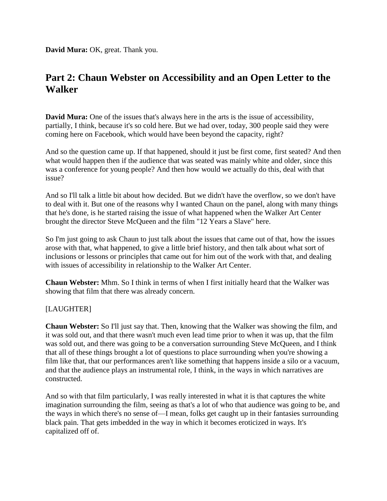**David Mura:** OK, great. Thank you.

# **Part 2: Chaun Webster on Accessibility and an Open Letter to the Walker**

**David Mura:** One of the issues that's always here in the arts is the issue of accessibility, partially, I think, because it's so cold here. But we had over, today, 300 people said they were coming here on Facebook, which would have been beyond the capacity, right?

And so the question came up. If that happened, should it just be first come, first seated? And then what would happen then if the audience that was seated was mainly white and older, since this was a conference for young people? And then how would we actually do this, deal with that issue?

And so I'll talk a little bit about how decided. But we didn't have the overflow, so we don't have to deal with it. But one of the reasons why I wanted Chaun on the panel, along with many things that he's done, is he started raising the issue of what happened when the Walker Art Center brought the director Steve McQueen and the film "12 Years a Slave" here.

So I'm just going to ask Chaun to just talk about the issues that came out of that, how the issues arose with that, what happened, to give a little brief history, and then talk about what sort of inclusions or lessons or principles that came out for him out of the work with that, and dealing with issues of accessibility in relationship to the Walker Art Center.

**Chaun Webster:** Mhm. So I think in terms of when I first initially heard that the Walker was showing that film that there was already concern.

### [LAUGHTER]

**Chaun Webster:** So I'll just say that. Then, knowing that the Walker was showing the film, and it was sold out, and that there wasn't much even lead time prior to when it was up, that the film was sold out, and there was going to be a conversation surrounding Steve McQueen, and I think that all of these things brought a lot of questions to place surrounding when you're showing a film like that, that our performances aren't like something that happens inside a silo or a vacuum, and that the audience plays an instrumental role, I think, in the ways in which narratives are constructed.

And so with that film particularly, I was really interested in what it is that captures the white imagination surrounding the film, seeing as that's a lot of who that audience was going to be, and the ways in which there's no sense of—I mean, folks get caught up in their fantasies surrounding black pain. That gets imbedded in the way in which it becomes eroticized in ways. It's capitalized off of.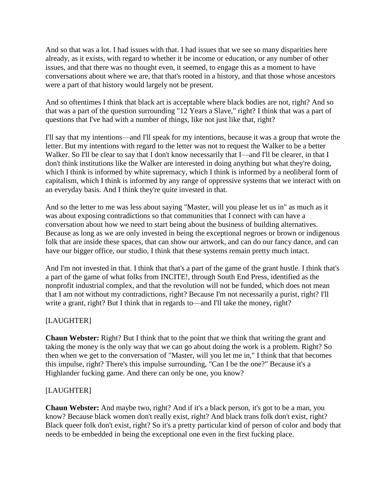And so that was a lot. I had issues with that. I had issues that we see so many disparities here already, as it exists, with regard to whether it be income or education, or any number of other issues, and that there was no thought even, it seemed, to engage this as a moment to have conversations about where we are, that that's rooted in a history, and that those whose ancestors were a part of that history would largely not be present.

And so oftentimes I think that black art is acceptable where black bodies are not, right? And so that was a part of the question surrounding "12 Years a Slave," right? I think that was a part of questions that I've had with a number of things, like not just like that, right?

I'll say that my intentions—and I'll speak for my intentions, because it was a group that wrote the letter. But my intentions with regard to the letter was not to request the Walker to be a better Walker. So I'll be clear to say that I don't know necessarily that I—and I'll be clearer, in that I don't think institutions like the Walker are interested in doing anything but what they're doing, which I think is informed by white supremacy, which I think is informed by a neoliberal form of capitalism, which I think is informed by any range of oppressive systems that we interact with on an everyday basis. And I think they're quite invested in that.

And so the letter to me was less about saying "Master, will you please let us in" as much as it was about exposing contradictions so that communities that I connect with can have a conversation about how we need to start being about the business of building alternatives. Because as long as we are only invested in being the exceptional negroes or brown or indigenous folk that are inside these spaces, that can show our artwork, and can do our fancy dance, and can have our bigger office, our studio, I think that these systems remain pretty much intact.

And I'm not invested in that. I think that that's a part of the game of the grant hustle. I think that's a part of the game of what folks from INCITE!, through South End Press, identified as the nonprofit industrial complex, and that the revolution will not be funded, which does not mean that I am not without my contradictions, right? Because I'm not necessarily a purist, right? I'll write a grant, right? But I think that in regards to—and I'll take the money, right?

# [LAUGHTER]

**Chaun Webster:** Right? But I think that to the point that we think that writing the grant and taking the money is the only way that we can go about doing the work is a problem. Right? So then when we get to the conversation of "Master, will you let me in," I think that that becomes this impulse, right? There's this impulse surrounding, "Can I be the one?" Because it's a Highlander fucking game. And there can only be one, you know?

### [LAUGHTER]

**Chaun Webster:** And maybe two, right? And if it's a black person, it's got to be a man, you know? Because black women don't really exist, right? And black trans folk don't exist, right? Black queer folk don't exist, right? So it's a pretty particular kind of person of color and body that needs to be embedded in being the exceptional one even in the first fucking place.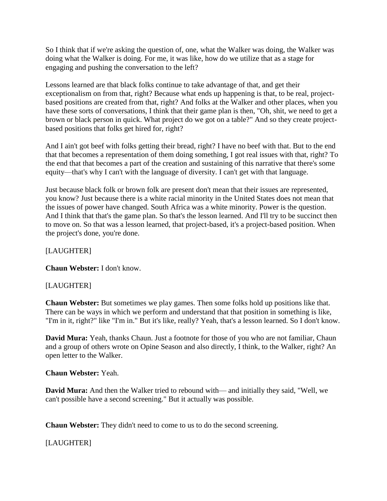So I think that if we're asking the question of, one, what the Walker was doing, the Walker was doing what the Walker is doing. For me, it was like, how do we utilize that as a stage for engaging and pushing the conversation to the left?

Lessons learned are that black folks continue to take advantage of that, and get their exceptionalism on from that, right? Because what ends up happening is that, to be real, projectbased positions are created from that, right? And folks at the Walker and other places, when you have these sorts of conversations, I think that their game plan is then, "Oh, shit, we need to get a brown or black person in quick. What project do we got on a table?" And so they create projectbased positions that folks get hired for, right?

And I ain't got beef with folks getting their bread, right? I have no beef with that. But to the end that that becomes a representation of them doing something, I got real issues with that, right? To the end that that becomes a part of the creation and sustaining of this narrative that there's some equity—that's why I can't with the language of diversity. I can't get with that language.

Just because black folk or brown folk are present don't mean that their issues are represented, you know? Just because there is a white racial minority in the United States does not mean that the issues of power have changed. South Africa was a white minority. Power is the question. And I think that that's the game plan. So that's the lesson learned. And I'll try to be succinct then to move on. So that was a lesson learned, that project-based, it's a project-based position. When the project's done, you're done.

### [LAUGHTER]

**Chaun Webster:** I don't know.

### [LAUGHTER]

**Chaun Webster:** But sometimes we play games. Then some folks hold up positions like that. There can be ways in which we perform and understand that that position in something is like, "I'm in it, right?" like "I'm in." But it's like, really? Yeah, that's a lesson learned. So I don't know.

**David Mura:** Yeah, thanks Chaun. Just a footnote for those of you who are not familiar, Chaun and a group of others wrote on Opine Season and also directly, I think, to the Walker, right? An open letter to the Walker.

#### **Chaun Webster:** Yeah.

**David Mura:** And then the Walker tried to rebound with— and initially they said, "Well, we can't possible have a second screening." But it actually was possible.

**Chaun Webster:** They didn't need to come to us to do the second screening.

# [LAUGHTER]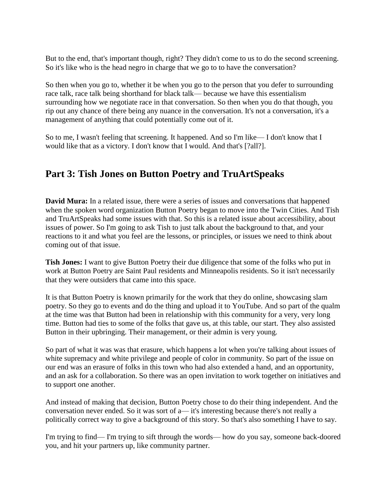But to the end, that's important though, right? They didn't come to us to do the second screening. So it's like who is the head negro in charge that we go to to have the conversation?

So then when you go to, whether it be when you go to the person that you defer to surrounding race talk, race talk being shorthand for black talk— because we have this essentialism surrounding how we negotiate race in that conversation. So then when you do that though, you rip out any chance of there being any nuance in the conversation. It's not a conversation, it's a management of anything that could potentially come out of it.

So to me, I wasn't feeling that screening. It happened. And so I'm like— I don't know that I would like that as a victory. I don't know that I would. And that's [?all?].

# **Part 3: Tish Jones on Button Poetry and TruArtSpeaks**

**David Mura:** In a related issue, there were a series of issues and conversations that happened when the spoken word organization Button Poetry began to move into the Twin Cities. And Tish and TruArtSpeaks had some issues with that. So this is a related issue about accessibility, about issues of power. So I'm going to ask Tish to just talk about the background to that, and your reactions to it and what you feel are the lessons, or principles, or issues we need to think about coming out of that issue.

**Tish Jones:** I want to give Button Poetry their due diligence that some of the folks who put in work at Button Poetry are Saint Paul residents and Minneapolis residents. So it isn't necessarily that they were outsiders that came into this space.

It is that Button Poetry is known primarily for the work that they do online, showcasing slam poetry. So they go to events and do the thing and upload it to YouTube. And so part of the qualm at the time was that Button had been in relationship with this community for a very, very long time. Button had ties to some of the folks that gave us, at this table, our start. They also assisted Button in their upbringing. Their management, or their admin is very young.

So part of what it was was that erasure, which happens a lot when you're talking about issues of white supremacy and white privilege and people of color in community. So part of the issue on our end was an erasure of folks in this town who had also extended a hand, and an opportunity, and an ask for a collaboration. So there was an open invitation to work together on initiatives and to support one another.

And instead of making that decision, Button Poetry chose to do their thing independent. And the conversation never ended. So it was sort of a— it's interesting because there's not really a politically correct way to give a background of this story. So that's also something I have to say.

I'm trying to find— I'm trying to sift through the words— how do you say, someone back-doored you, and hit your partners up, like community partner.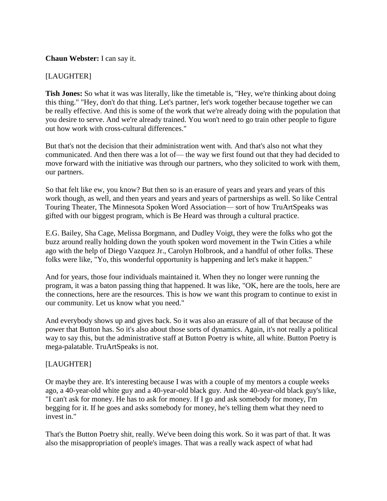#### **Chaun Webster:** I can say it.

#### [LAUGHTER]

**Tish Jones:** So what it was was literally, like the timetable is, "Hey, we're thinking about doing this thing." "Hey, don't do that thing. Let's partner, let's work together because together we can be really effective. And this is some of the work that we're already doing with the population that you desire to serve. And we're already trained. You won't need to go train other people to figure out how work with cross-cultural differences."

But that's not the decision that their administration went with. And that's also not what they communicated. And then there was a lot of— the way we first found out that they had decided to move forward with the initiative was through our partners, who they solicited to work with them, our partners.

So that felt like ew, you know? But then so is an erasure of years and years and years of this work though, as well, and then years and years and years of partnerships as well. So like Central Touring Theater, The Minnesota Spoken Word Association— sort of how TruArtSpeaks was gifted with our biggest program, which is Be Heard was through a cultural practice.

E.G. Bailey, Sha Cage, Melissa Borgmann, and Dudley Voigt, they were the folks who got the buzz around really holding down the youth spoken word movement in the Twin Cities a while ago with the help of Diego Vazquez Jr., Carolyn Holbrook, and a handful of other folks. These folks were like, "Yo, this wonderful opportunity is happening and let's make it happen."

And for years, those four individuals maintained it. When they no longer were running the program, it was a baton passing thing that happened. It was like, "OK, here are the tools, here are the connections, here are the resources. This is how we want this program to continue to exist in our community. Let us know what you need."

And everybody shows up and gives back. So it was also an erasure of all of that because of the power that Button has. So it's also about those sorts of dynamics. Again, it's not really a political way to say this, but the administrative staff at Button Poetry is white, all white. Button Poetry is mega-palatable. TruArtSpeaks is not.

#### [LAUGHTER]

Or maybe they are. It's interesting because I was with a couple of my mentors a couple weeks ago, a 40-year-old white guy and a 40-year-old black guy. And the 40-year-old black guy's like, "I can't ask for money. He has to ask for money. If I go and ask somebody for money, I'm begging for it. If he goes and asks somebody for money, he's telling them what they need to invest in."

That's the Button Poetry shit, really. We've been doing this work. So it was part of that. It was also the misappropriation of people's images. That was a really wack aspect of what had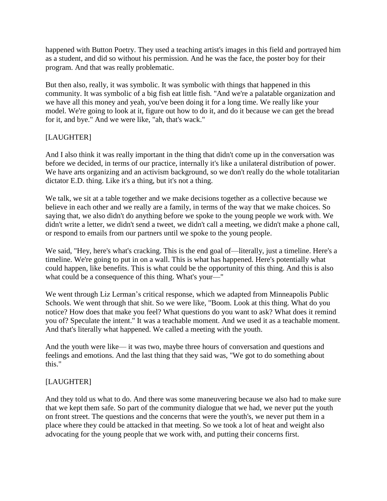happened with Button Poetry. They used a teaching artist's images in this field and portrayed him as a student, and did so without his permission. And he was the face, the poster boy for their program. And that was really problematic.

But then also, really, it was symbolic. It was symbolic with things that happened in this community. It was symbolic of a big fish eat little fish. "And we're a palatable organization and we have all this money and yeah, you've been doing it for a long time. We really like your model. We're going to look at it, figure out how to do it, and do it because we can get the bread for it, and bye." And we were like, "ah, that's wack."

## [LAUGHTER]

And I also think it was really important in the thing that didn't come up in the conversation was before we decided, in terms of our practice, internally it's like a unilateral distribution of power. We have arts organizing and an activism background, so we don't really do the whole totalitarian dictator E.D. thing. Like it's a thing, but it's not a thing.

We talk, we sit at a table together and we make decisions together as a collective because we believe in each other and we really are a family, in terms of the way that we make choices. So saying that, we also didn't do anything before we spoke to the young people we work with. We didn't write a letter, we didn't send a tweet, we didn't call a meeting, we didn't make a phone call, or respond to emails from our partners until we spoke to the young people.

We said, "Hey, here's what's cracking. This is the end goal of—literally, just a timeline. Here's a timeline. We're going to put in on a wall. This is what has happened. Here's potentially what could happen, like benefits. This is what could be the opportunity of this thing. And this is also what could be a consequence of this thing. What's your—"

We went through Liz Lerman's critical response, which we adapted from Minneapolis Public Schools. We went through that shit. So we were like, "Boom. Look at this thing. What do you notice? How does that make you feel? What questions do you want to ask? What does it remind you of? Speculate the intent." It was a teachable moment. And we used it as a teachable moment. And that's literally what happened. We called a meeting with the youth.

And the youth were like— it was two, maybe three hours of conversation and questions and feelings and emotions. And the last thing that they said was, "We got to do something about this."

# [LAUGHTER]

And they told us what to do. And there was some maneuvering because we also had to make sure that we kept them safe. So part of the community dialogue that we had, we never put the youth on front street. The questions and the concerns that were the youth's, we never put them in a place where they could be attacked in that meeting. So we took a lot of heat and weight also advocating for the young people that we work with, and putting their concerns first.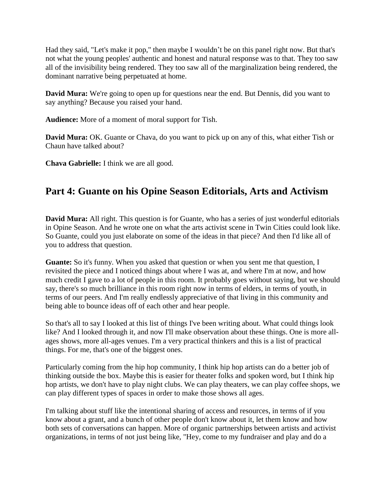Had they said, "Let's make it pop," then maybe I wouldn't be on this panel right now. But that's not what the young peoples' authentic and honest and natural response was to that. They too saw all of the invisibility being rendered. They too saw all of the marginalization being rendered, the dominant narrative being perpetuated at home.

**David Mura:** We're going to open up for questions near the end. But Dennis, did you want to say anything? Because you raised your hand.

**Audience:** More of a moment of moral support for Tish.

**David Mura:** OK. Guante or Chava, do you want to pick up on any of this, what either Tish or Chaun have talked about?

**Chava Gabrielle:** I think we are all good.

# **Part 4: Guante on his Opine Season Editorials, Arts and Activism**

**David Mura:** All right. This question is for Guante, who has a series of just wonderful editorials in Opine Season. And he wrote one on what the arts activist scene in Twin Cities could look like. So Guante, could you just elaborate on some of the ideas in that piece? And then I'd like all of you to address that question.

**Guante:** So it's funny. When you asked that question or when you sent me that question, I revisited the piece and I noticed things about where I was at, and where I'm at now, and how much credit I gave to a lot of people in this room. It probably goes without saying, but we should say, there's so much brilliance in this room right now in terms of elders, in terms of youth, in terms of our peers. And I'm really endlessly appreciative of that living in this community and being able to bounce ideas off of each other and hear people.

So that's all to say I looked at this list of things I've been writing about. What could things look like? And I looked through it, and now I'll make observation about these things. One is more allages shows, more all-ages venues. I'm a very practical thinkers and this is a list of practical things. For me, that's one of the biggest ones.

Particularly coming from the hip hop community, I think hip hop artists can do a better job of thinking outside the box. Maybe this is easier for theater folks and spoken word, but I think hip hop artists, we don't have to play night clubs. We can play theaters, we can play coffee shops, we can play different types of spaces in order to make those shows all ages.

I'm talking about stuff like the intentional sharing of access and resources, in terms of if you know about a grant, and a bunch of other people don't know about it, let them know and how both sets of conversations can happen. More of organic partnerships between artists and activist organizations, in terms of not just being like, "Hey, come to my fundraiser and play and do a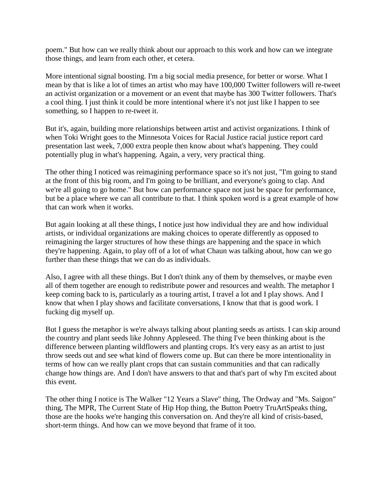poem." But how can we really think about our approach to this work and how can we integrate those things, and learn from each other, et cetera.

More intentional signal boosting. I'm a big social media presence, for better or worse. What I mean by that is like a lot of times an artist who may have 100,000 Twitter followers will re-tweet an activist organization or a movement or an event that maybe has 300 Twitter followers. That's a cool thing. I just think it could be more intentional where it's not just like I happen to see something, so I happen to re-tweet it.

But it's, again, building more relationships between artist and activist organizations. I think of when Toki Wright goes to the Minnesota Voices for Racial Justice racial justice report card presentation last week, 7,000 extra people then know about what's happening. They could potentially plug in what's happening. Again, a very, very practical thing.

The other thing I noticed was reimagining performance space so it's not just, "I'm going to stand at the front of this big room, and I'm going to be brilliant, and everyone's going to clap. And we're all going to go home." But how can performance space not just be space for performance, but be a place where we can all contribute to that. I think spoken word is a great example of how that can work when it works.

But again looking at all these things, I notice just how individual they are and how individual artists, or individual organizations are making choices to operate differently as opposed to reimagining the larger structures of how these things are happening and the space in which they're happening. Again, to play off of a lot of what Chaun was talking about, how can we go further than these things that we can do as individuals.

Also, I agree with all these things. But I don't think any of them by themselves, or maybe even all of them together are enough to redistribute power and resources and wealth. The metaphor I keep coming back to is, particularly as a touring artist, I travel a lot and I play shows. And I know that when I play shows and facilitate conversations, I know that that is good work. I fucking dig myself up.

But I guess the metaphor is we're always talking about planting seeds as artists. I can skip around the country and plant seeds like Johnny Appleseed. The thing I've been thinking about is the difference between planting wildflowers and planting crops. It's very easy as an artist to just throw seeds out and see what kind of flowers come up. But can there be more intentionality in terms of how can we really plant crops that can sustain communities and that can radically change how things are. And I don't have answers to that and that's part of why I'm excited about this event.

The other thing I notice is The Walker "12 Years a Slave" thing, The Ordway and "Ms. Saigon" thing, The MPR, The Current State of Hip Hop thing, the Button Poetry TruArtSpeaks thing, those are the hooks we're hanging this conversation on. And they're all kind of crisis-based, short-term things. And how can we move beyond that frame of it too.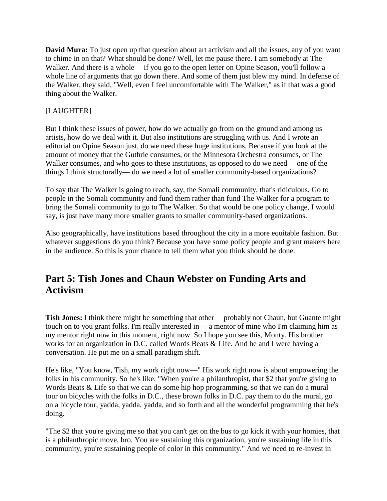**David Mura:** To just open up that question about art activism and all the issues, any of you want to chime in on that? What should be done? Well, let me pause there. I am somebody at The Walker. And there is a whole— if you go to the open letter on Opine Season, you'll follow a whole line of arguments that go down there. And some of them just blew my mind. In defense of the Walker, they said, "Well, even I feel uncomfortable with The Walker," as if that was a good thing about the Walker.

## [LAUGHTER]

But I think these issues of power, how do we actually go from on the ground and among us artists, how do we deal with it. But also institutions are struggling with us. And I wrote an editorial on Opine Season just, do we need these huge institutions. Because if you look at the amount of money that the Guthrie consumes, or the Minnesota Orchestra consumes, or The Walker consumes, and who goes to these institutions, as opposed to do we need— one of the things I think structurally— do we need a lot of smaller community-based organizations?

To say that The Walker is going to reach, say, the Somali community, that's ridiculous. Go to people in the Somali community and fund them rather than fund The Walker for a program to bring the Somali community to go to The Walker. So that would be one policy change, I would say, is just have many more smaller grants to smaller community-based organizations.

Also geographically, have institutions based throughout the city in a more equitable fashion. But whatever suggestions do you think? Because you have some policy people and grant makers here in the audience. So this is your chance to tell them what you think should be done.

# **Part 5: Tish Jones and Chaun Webster on Funding Arts and Activism**

**Tish Jones:** I think there might be something that other— probably not Chaun, but Guante might touch on to you grant folks. I'm really interested in— a mentor of mine who I'm claiming him as my mentor right now in this moment, right now. So I hope you see this, Monty. His brother works for an organization in D.C. called Words Beats & Life. And he and I were having a conversation. He put me on a small paradigm shift.

He's like, "You know, Tish, my work right now—" His work right now is about empowering the folks in his community. So he's like, "When you're a philanthropist, that \$2 that you're giving to Words Beats & Life so that we can do some hip hop programming, so that we can do a mural tour on bicycles with the folks in D.C., these brown folks in D.C. pay them to do the mural, go on a bicycle tour, yadda, yadda, yadda, and so forth and all the wonderful programming that he's doing.

"The \$2 that you're giving me so that you can't get on the bus to go kick it with your homies, that is a philanthropic move, bro. You are sustaining this organization, you're sustaining life in this community, you're sustaining people of color in this community." And we need to re-invest in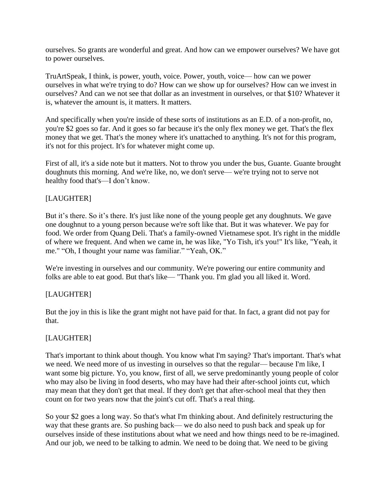ourselves. So grants are wonderful and great. And how can we empower ourselves? We have got to power ourselves.

TruArtSpeak, I think, is power, youth, voice. Power, youth, voice— how can we power ourselves in what we're trying to do? How can we show up for ourselves? How can we invest in ourselves? And can we not see that dollar as an investment in ourselves, or that \$10? Whatever it is, whatever the amount is, it matters. It matters.

And specifically when you're inside of these sorts of institutions as an E.D. of a non-profit, no, you're \$2 goes so far. And it goes so far because it's the only flex money we get. That's the flex money that we get. That's the money where it's unattached to anything. It's not for this program, it's not for this project. It's for whatever might come up.

First of all, it's a side note but it matters. Not to throw you under the bus, Guante. Guante brought doughnuts this morning. And we're like, no, we don't serve— we're trying not to serve not healthy food that's—I don't know.

## [LAUGHTER]

But it's there. So it's there. It's just like none of the young people get any doughnuts. We gave one doughnut to a young person because we're soft like that. But it was whatever. We pay for food. We order from Quang Deli. That's a family-owned Vietnamese spot. It's right in the middle of where we frequent. And when we came in, he was like, "Yo Tish, it's you!" It's like, "Yeah, it me." "Oh, I thought your name was familiar." "Yeah, OK."

We're investing in ourselves and our community. We're powering our entire community and folks are able to eat good. But that's like— "Thank you. I'm glad you all liked it. Word.

# [LAUGHTER]

But the joy in this is like the grant might not have paid for that. In fact, a grant did not pay for that.

# [LAUGHTER]

That's important to think about though. You know what I'm saying? That's important. That's what we need. We need more of us investing in ourselves so that the regular— because I'm like, I want some big picture. Yo, you know, first of all, we serve predominantly young people of color who may also be living in food deserts, who may have had their after-school joints cut, which may mean that they don't get that meal. If they don't get that after-school meal that they then count on for two years now that the joint's cut off. That's a real thing.

So your \$2 goes a long way. So that's what I'm thinking about. And definitely restructuring the way that these grants are. So pushing back— we do also need to push back and speak up for ourselves inside of these institutions about what we need and how things need to be re-imagined. And our job, we need to be talking to admin. We need to be doing that. We need to be giving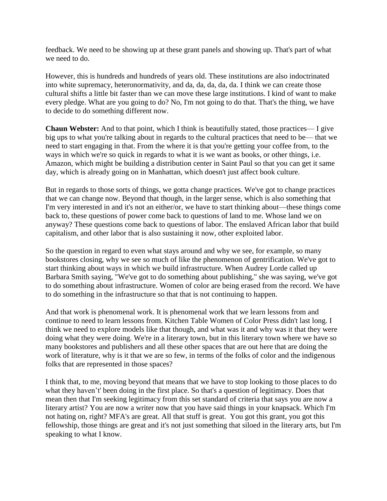feedback. We need to be showing up at these grant panels and showing up. That's part of what we need to do.

However, this is hundreds and hundreds of years old. These institutions are also indoctrinated into white supremacy, heteronormativity, and da, da, da, da, da. I think we can create those cultural shifts a little bit faster than we can move these large institutions. I kind of want to make every pledge. What are you going to do? No, I'm not going to do that. That's the thing, we have to decide to do something different now.

**Chaun Webster:** And to that point, which I think is beautifully stated, those practices— I give big ups to what you're talking about in regards to the cultural practices that need to be— that we need to start engaging in that. From the where it is that you're getting your coffee from, to the ways in which we're so quick in regards to what it is we want as books, or other things, i.e. Amazon, which might be building a distribution center in Saint Paul so that you can get it same day, which is already going on in Manhattan, which doesn't just affect book culture.

But in regards to those sorts of things, we gotta change practices. We've got to change practices that we can change now. Beyond that though, in the larger sense, which is also something that I'm very interested in and it's not an either/or, we have to start thinking about—these things come back to, these questions of power come back to questions of land to me. Whose land we on anyway? These questions come back to questions of labor. The enslaved African labor that build capitalism, and other labor that is also sustaining it now, other exploited labor.

So the question in regard to even what stays around and why we see, for example, so many bookstores closing, why we see so much of like the phenomenon of gentrification. We've got to start thinking about ways in which we build infrastructure. When Audrey Lorde called up Barbara Smith saying, "We've got to do something about publishing," she was saying, we've got to do something about infrastructure. Women of color are being erased from the record. We have to do something in the infrastructure so that that is not continuing to happen.

And that work is phenomenal work. It is phenomenal work that we learn lessons from and continue to need to learn lessons from. Kitchen Table Women of Color Press didn't last long. I think we need to explore models like that though, and what was it and why was it that they were doing what they were doing. We're in a literary town, but in this literary town where we have so many bookstores and publishers and all these other spaces that are out here that are doing the work of literature, why is it that we are so few, in terms of the folks of color and the indigenous folks that are represented in those spaces?

I think that, to me, moving beyond that means that we have to stop looking to those places to do what they haven't' been doing in the first place. So that's a question of legitimacy. Does that mean then that I'm seeking legitimacy from this set standard of criteria that says you are now a literary artist? You are now a writer now that you have said things in your knapsack. Which I'm not hating on, right? MFA's are great. All that stuff is great. You got this grant, you got this fellowship, those things are great and it's not just something that siloed in the literary arts, but I'm speaking to what I know.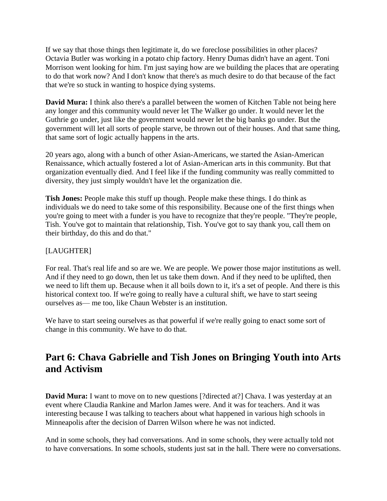If we say that those things then legitimate it, do we foreclose possibilities in other places? Octavia Butler was working in a potato chip factory. Henry Dumas didn't have an agent. Toni Morrison went looking for him. I'm just saying how are we building the places that are operating to do that work now? And I don't know that there's as much desire to do that because of the fact that we're so stuck in wanting to hospice dying systems.

**David Mura:** I think also there's a parallel between the women of Kitchen Table not being here any longer and this community would never let The Walker go under. It would never let the Guthrie go under, just like the government would never let the big banks go under. But the government will let all sorts of people starve, be thrown out of their houses. And that same thing, that same sort of logic actually happens in the arts.

20 years ago, along with a bunch of other Asian-Americans, we started the Asian-American Renaissance, which actually fostered a lot of Asian-American arts in this community. But that organization eventually died. And I feel like if the funding community was really committed to diversity, they just simply wouldn't have let the organization die.

**Tish Jones:** People make this stuff up though. People make these things. I do think as individuals we do need to take some of this responsibility. Because one of the first things when you're going to meet with a funder is you have to recognize that they're people. "They're people, Tish. You've got to maintain that relationship, Tish. You've got to say thank you, call them on their birthday, do this and do that."

## [LAUGHTER]

For real. That's real life and so are we. We are people. We power those major institutions as well. And if they need to go down, then let us take them down. And if they need to be uplifted, then we need to lift them up. Because when it all boils down to it, it's a set of people. And there is this historical context too. If we're going to really have a cultural shift, we have to start seeing ourselves as— me too, like Chaun Webster is an institution.

We have to start seeing ourselves as that powerful if we're really going to enact some sort of change in this community. We have to do that.

# **Part 6: Chava Gabrielle and Tish Jones on Bringing Youth into Arts and Activism**

**David Mura:** I want to move on to new questions [?directed at?] Chava. I was yesterday at an event where Claudia Rankine and Marlon James were. And it was for teachers. And it was interesting because I was talking to teachers about what happened in various high schools in Minneapolis after the decision of Darren Wilson where he was not indicted.

And in some schools, they had conversations. And in some schools, they were actually told not to have conversations. In some schools, students just sat in the hall. There were no conversations.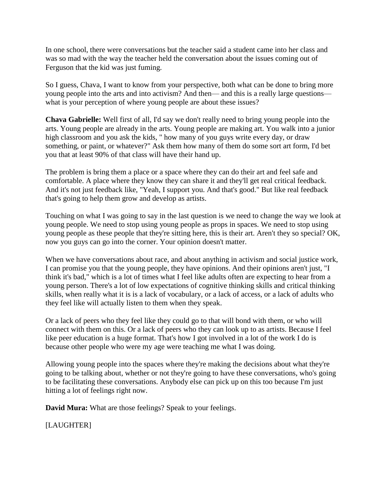In one school, there were conversations but the teacher said a student came into her class and was so mad with the way the teacher held the conversation about the issues coming out of Ferguson that the kid was just fuming.

So I guess, Chava, I want to know from your perspective, both what can be done to bring more young people into the arts and into activism? And then— and this is a really large questions what is your perception of where young people are about these issues?

**Chava Gabrielle:** Well first of all, I'd say we don't really need to bring young people into the arts. Young people are already in the arts. Young people are making art. You walk into a junior high classroom and you ask the kids, " how many of you guys write every day, or draw something, or paint, or whatever?" Ask them how many of them do some sort art form, I'd bet you that at least 90% of that class will have their hand up.

The problem is bring them a place or a space where they can do their art and feel safe and comfortable. A place where they know they can share it and they'll get real critical feedback. And it's not just feedback like, "Yeah, I support you. And that's good." But like real feedback that's going to help them grow and develop as artists.

Touching on what I was going to say in the last question is we need to change the way we look at young people. We need to stop using young people as props in spaces. We need to stop using young people as these people that they're sitting here, this is their art. Aren't they so special? OK, now you guys can go into the corner. Your opinion doesn't matter.

When we have conversations about race, and about anything in activism and social justice work, I can promise you that the young people, they have opinions. And their opinions aren't just, "I think it's bad," which is a lot of times what I feel like adults often are expecting to hear from a young person. There's a lot of low expectations of cognitive thinking skills and critical thinking skills, when really what it is is a lack of vocabulary, or a lack of access, or a lack of adults who they feel like will actually listen to them when they speak.

Or a lack of peers who they feel like they could go to that will bond with them, or who will connect with them on this. Or a lack of peers who they can look up to as artists. Because I feel like peer education is a huge format. That's how I got involved in a lot of the work I do is because other people who were my age were teaching me what I was doing.

Allowing young people into the spaces where they're making the decisions about what they're going to be talking about, whether or not they're going to have these conversations, who's going to be facilitating these conversations. Anybody else can pick up on this too because I'm just hitting a lot of feelings right now.

**David Mura:** What are those feelings? Speak to your feelings.

[LAUGHTER]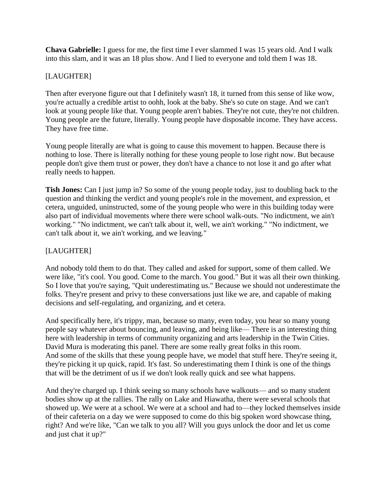**Chava Gabrielle:** I guess for me, the first time I ever slammed I was 15 years old. And I walk into this slam, and it was an 18 plus show. And I lied to everyone and told them I was 18.

# [LAUGHTER]

Then after everyone figure out that I definitely wasn't 18, it turned from this sense of like wow, you're actually a credible artist to oohh, look at the baby. She's so cute on stage. And we can't look at young people like that. Young people aren't babies. They're not cute, they're not children. Young people are the future, literally. Young people have disposable income. They have access. They have free time.

Young people literally are what is going to cause this movement to happen. Because there is nothing to lose. There is literally nothing for these young people to lose right now. But because people don't give them trust or power, they don't have a chance to not lose it and go after what really needs to happen.

**Tish Jones:** Can I just jump in? So some of the young people today, just to doubling back to the question and thinking the verdict and young people's role in the movement, and expression, et cetera, unguided, uninstructed, some of the young people who were in this building today were also part of individual movements where there were school walk-outs. "No indictment, we ain't working." "No indictment, we can't talk about it, well, we ain't working." "No indictment, we can't talk about it, we ain't working, and we leaving."

# [LAUGHTER]

And nobody told them to do that. They called and asked for support, some of them called. We were like, "it's cool. You good. Come to the march. You good." But it was all their own thinking. So I love that you're saying, "Quit underestimating us." Because we should not underestimate the folks. They're present and privy to these conversations just like we are, and capable of making decisions and self-regulating, and organizing, and et cetera.

And specifically here, it's trippy, man, because so many, even today, you hear so many young people say whatever about bouncing, and leaving, and being like— There is an interesting thing here with leadership in terms of community organizing and arts leadership in the Twin Cities. David Mura is moderating this panel. There are some really great folks in this room. And some of the skills that these young people have, we model that stuff here. They're seeing it, they're picking it up quick, rapid. It's fast. So underestimating them I think is one of the things that will be the detriment of us if we don't look really quick and see what happens.

And they're charged up. I think seeing so many schools have walkouts— and so many student bodies show up at the rallies. The rally on Lake and Hiawatha, there were several schools that showed up. We were at a school. We were at a school and had to—they locked themselves inside of their cafeteria on a day we were supposed to come do this big spoken word showcase thing, right? And we're like, "Can we talk to you all? Will you guys unlock the door and let us come and just chat it up?"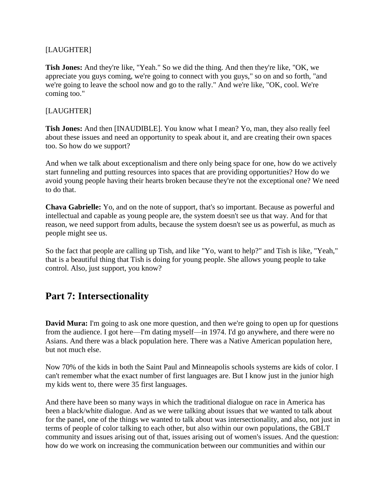### [LAUGHTER]

**Tish Jones:** And they're like, "Yeah." So we did the thing. And then they're like, "OK, we appreciate you guys coming, we're going to connect with you guys," so on and so forth, "and we're going to leave the school now and go to the rally." And we're like, "OK, cool. We're coming too."

## [LAUGHTER]

**Tish Jones:** And then [INAUDIBLE]. You know what I mean? Yo, man, they also really feel about these issues and need an opportunity to speak about it, and are creating their own spaces too. So how do we support?

And when we talk about exceptionalism and there only being space for one, how do we actively start funneling and putting resources into spaces that are providing opportunities? How do we avoid young people having their hearts broken because they're not the exceptional one? We need to do that.

**Chava Gabrielle:** Yo, and on the note of support, that's so important. Because as powerful and intellectual and capable as young people are, the system doesn't see us that way. And for that reason, we need support from adults, because the system doesn't see us as powerful, as much as people might see us.

So the fact that people are calling up Tish, and like "Yo, want to help?" and Tish is like, "Yeah," that is a beautiful thing that Tish is doing for young people. She allows young people to take control. Also, just support, you know?

# **Part 7: Intersectionality**

**David Mura:** I'm going to ask one more question, and then we're going to open up for questions from the audience. I got here—I'm dating myself—in 1974. I'd go anywhere, and there were no Asians. And there was a black population here. There was a Native American population here, but not much else.

Now 70% of the kids in both the Saint Paul and Minneapolis schools systems are kids of color. I can't remember what the exact number of first languages are. But I know just in the junior high my kids went to, there were 35 first languages.

And there have been so many ways in which the traditional dialogue on race in America has been a black/white dialogue. And as we were talking about issues that we wanted to talk about for the panel, one of the things we wanted to talk about was intersectionality, and also, not just in terms of people of color talking to each other, but also within our own populations, the GBLT community and issues arising out of that, issues arising out of women's issues. And the question: how do we work on increasing the communication between our communities and within our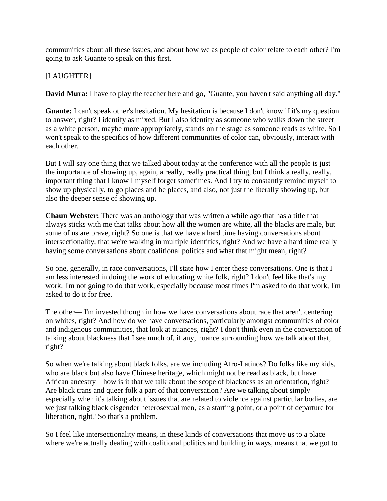communities about all these issues, and about how we as people of color relate to each other? I'm going to ask Guante to speak on this first.

### [LAUGHTER]

**David Mura:** I have to play the teacher here and go, "Guante, you haven't said anything all day."

**Guante:** I can't speak other's hesitation. My hesitation is because I don't know if it's my question to answer, right? I identify as mixed. But I also identify as someone who walks down the street as a white person, maybe more appropriately, stands on the stage as someone reads as white. So I won't speak to the specifics of how different communities of color can, obviously, interact with each other.

But I will say one thing that we talked about today at the conference with all the people is just the importance of showing up, again, a really, really practical thing, but I think a really, really, important thing that I know I myself forget sometimes. And I try to constantly remind myself to show up physically, to go places and be places, and also, not just the literally showing up, but also the deeper sense of showing up.

**Chaun Webster:** There was an anthology that was written a while ago that has a title that always sticks with me that talks about how all the women are white, all the blacks are male, but some of us are brave, right? So one is that we have a hard time having conversations about intersectionality, that we're walking in multiple identities, right? And we have a hard time really having some conversations about coalitional politics and what that might mean, right?

So one, generally, in race conversations, I'll state how I enter these conversations. One is that I am less interested in doing the work of educating white folk, right? I don't feel like that's my work. I'm not going to do that work, especially because most times I'm asked to do that work, I'm asked to do it for free.

The other— I'm invested though in how we have conversations about race that aren't centering on whites, right? And how do we have conversations, particularly amongst communities of color and indigenous communities, that look at nuances, right? I don't think even in the conversation of talking about blackness that I see much of, if any, nuance surrounding how we talk about that, right?

So when we're talking about black folks, are we including Afro-Latinos? Do folks like my kids, who are black but also have Chinese heritage, which might not be read as black, but have African ancestry—how is it that we talk about the scope of blackness as an orientation, right? Are black trans and queer folk a part of that conversation? Are we talking about simply especially when it's talking about issues that are related to violence against particular bodies, are we just talking black cisgender heterosexual men, as a starting point, or a point of departure for liberation, right? So that's a problem.

So I feel like intersectionality means, in these kinds of conversations that move us to a place where we're actually dealing with coalitional politics and building in ways, means that we got to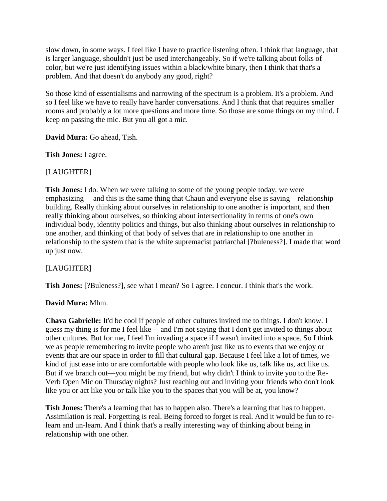slow down, in some ways. I feel like I have to practice listening often. I think that language, that is larger language, shouldn't just be used interchangeably. So if we're talking about folks of color, but we're just identifying issues within a black/white binary, then I think that that's a problem. And that doesn't do anybody any good, right?

So those kind of essentialisms and narrowing of the spectrum is a problem. It's a problem. And so I feel like we have to really have harder conversations. And I think that that requires smaller rooms and probably a lot more questions and more time. So those are some things on my mind. I keep on passing the mic. But you all got a mic.

**David Mura:** Go ahead, Tish.

**Tish Jones:** I agree.

### [LAUGHTER]

**Tish Jones:** I do. When we were talking to some of the young people today, we were emphasizing— and this is the same thing that Chaun and everyone else is saying—relationship building. Really thinking about ourselves in relationship to one another is important, and then really thinking about ourselves, so thinking about intersectionality in terms of one's own individual body, identity politics and things, but also thinking about ourselves in relationship to one another, and thinking of that body of selves that are in relationship to one another in relationship to the system that is the white supremacist patriarchal [?buleness?]. I made that word up just now.

### [LAUGHTER]

**Tish Jones:** [?Buleness?], see what I mean? So I agree. I concur. I think that's the work.

### **David Mura:** Mhm.

**Chava Gabrielle:** It'd be cool if people of other cultures invited me to things. I don't know. I guess my thing is for me I feel like— and I'm not saying that I don't get invited to things about other cultures. But for me, I feel I'm invading a space if I wasn't invited into a space. So I think we as people remembering to invite people who aren't just like us to events that we enjoy or events that are our space in order to fill that cultural gap. Because I feel like a lot of times, we kind of just ease into or are comfortable with people who look like us, talk like us, act like us. But if we branch out—you might be my friend, but why didn't I think to invite you to the Re-Verb Open Mic on Thursday nights? Just reaching out and inviting your friends who don't look like you or act like you or talk like you to the spaces that you will be at, you know?

**Tish Jones:** There's a learning that has to happen also. There's a learning that has to happen. Assimilation is real. Forgetting is real. Being forced to forget is real. And it would be fun to relearn and un-learn. And I think that's a really interesting way of thinking about being in relationship with one other.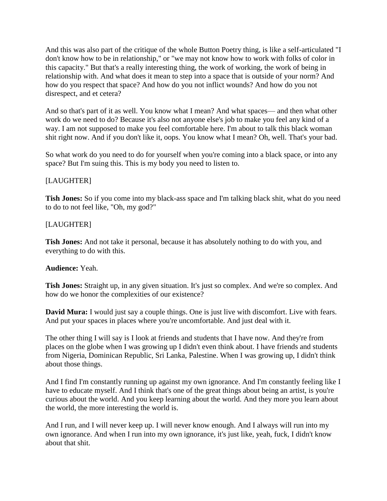And this was also part of the critique of the whole Button Poetry thing, is like a self-articulated "I don't know how to be in relationship," or "we may not know how to work with folks of color in this capacity." But that's a really interesting thing, the work of working, the work of being in relationship with. And what does it mean to step into a space that is outside of your norm? And how do you respect that space? And how do you not inflict wounds? And how do you not disrespect, and et cetera?

And so that's part of it as well. You know what I mean? And what spaces— and then what other work do we need to do? Because it's also not anyone else's job to make you feel any kind of a way. I am not supposed to make you feel comfortable here. I'm about to talk this black woman shit right now. And if you don't like it, oops. You know what I mean? Oh, well. That's your bad.

So what work do you need to do for yourself when you're coming into a black space, or into any space? But I'm suing this. This is my body you need to listen to.

## [LAUGHTER]

**Tish Jones:** So if you come into my black-ass space and I'm talking black shit, what do you need to do to not feel like, "Oh, my god?"

## [LAUGHTER]

**Tish Jones:** And not take it personal, because it has absolutely nothing to do with you, and everything to do with this.

### **Audience:** Yeah.

**Tish Jones:** Straight up, in any given situation. It's just so complex. And we're so complex. And how do we honor the complexities of our existence?

**David Mura:** I would just say a couple things. One is just live with discomfort. Live with fears. And put your spaces in places where you're uncomfortable. And just deal with it.

The other thing I will say is I look at friends and students that I have now. And they're from places on the globe when I was growing up I didn't even think about. I have friends and students from Nigeria, Dominican Republic, Sri Lanka, Palestine. When I was growing up, I didn't think about those things.

And I find I'm constantly running up against my own ignorance. And I'm constantly feeling like I have to educate myself. And I think that's one of the great things about being an artist, is you're curious about the world. And you keep learning about the world. And they more you learn about the world, the more interesting the world is.

And I run, and I will never keep up. I will never know enough. And I always will run into my own ignorance. And when I run into my own ignorance, it's just like, yeah, fuck, I didn't know about that shit.